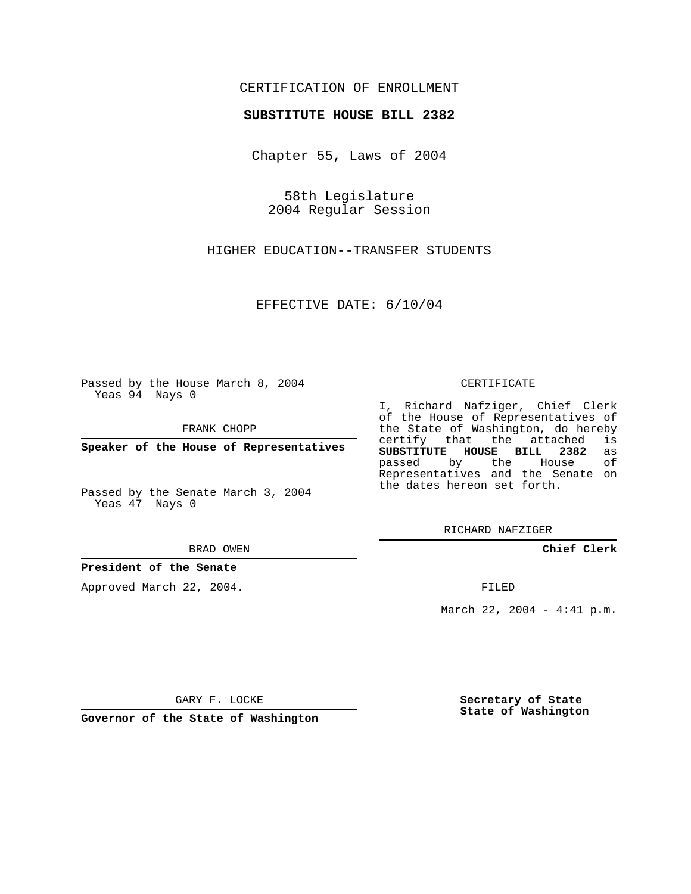# CERTIFICATION OF ENROLLMENT

### **SUBSTITUTE HOUSE BILL 2382**

Chapter 55, Laws of 2004

58th Legislature 2004 Regular Session

HIGHER EDUCATION--TRANSFER STUDENTS

EFFECTIVE DATE: 6/10/04

Passed by the House March 8, 2004 Yeas 94 Nays 0

FRANK CHOPP

**Speaker of the House of Representatives**

Passed by the Senate March 3, 2004 Yeas 47 Nays 0

#### BRAD OWEN

## **President of the Senate**

Approved March 22, 2004.

#### CERTIFICATE

I, Richard Nafziger, Chief Clerk of the House of Representatives of the State of Washington, do hereby<br>certify that the attached is certify that the attached **SUBSTITUTE HOUSE BILL 2382** as passed by the House Representatives and the Senate on the dates hereon set forth.

RICHARD NAFZIGER

**Chief Clerk**

FILED

March 22, 2004 - 4:41 p.m.

GARY F. LOCKE

**Governor of the State of Washington**

**Secretary of State State of Washington**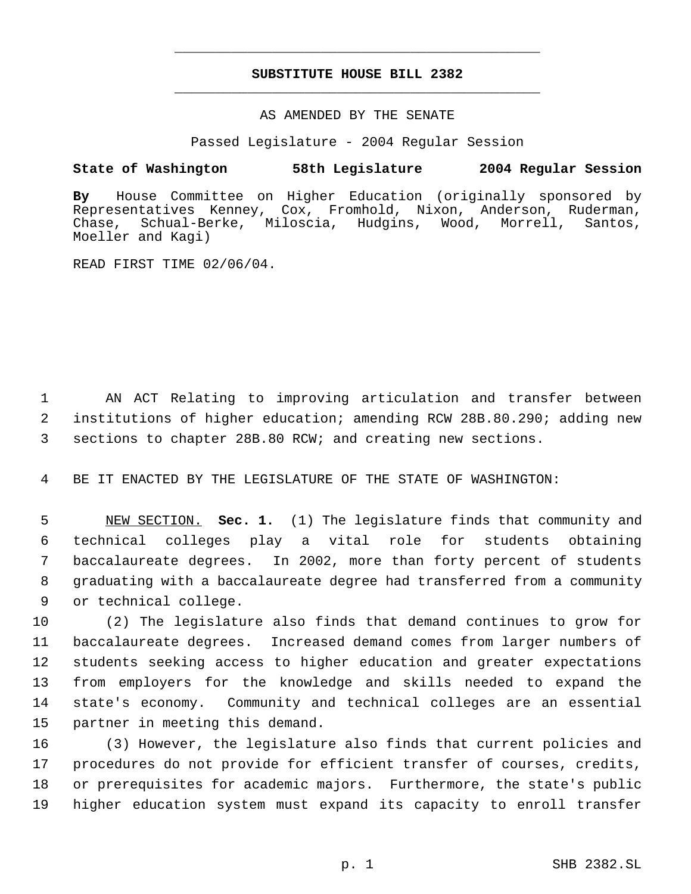# **SUBSTITUTE HOUSE BILL 2382** \_\_\_\_\_\_\_\_\_\_\_\_\_\_\_\_\_\_\_\_\_\_\_\_\_\_\_\_\_\_\_\_\_\_\_\_\_\_\_\_\_\_\_\_\_

\_\_\_\_\_\_\_\_\_\_\_\_\_\_\_\_\_\_\_\_\_\_\_\_\_\_\_\_\_\_\_\_\_\_\_\_\_\_\_\_\_\_\_\_\_

## AS AMENDED BY THE SENATE

Passed Legislature - 2004 Regular Session

## **State of Washington 58th Legislature 2004 Regular Session**

**By** House Committee on Higher Education (originally sponsored by Representatives Kenney, Cox, Fromhold, Nixon, Anderson, Ruderman, Chase, Schual-Berke, Miloscia, Hudgins, Wood, Morrell, Santos, Moeller and Kagi)

READ FIRST TIME 02/06/04.

 AN ACT Relating to improving articulation and transfer between institutions of higher education; amending RCW 28B.80.290; adding new sections to chapter 28B.80 RCW; and creating new sections.

BE IT ENACTED BY THE LEGISLATURE OF THE STATE OF WASHINGTON:

 NEW SECTION. **Sec. 1.** (1) The legislature finds that community and technical colleges play a vital role for students obtaining baccalaureate degrees. In 2002, more than forty percent of students graduating with a baccalaureate degree had transferred from a community or technical college.

 (2) The legislature also finds that demand continues to grow for baccalaureate degrees. Increased demand comes from larger numbers of students seeking access to higher education and greater expectations from employers for the knowledge and skills needed to expand the state's economy. Community and technical colleges are an essential partner in meeting this demand.

 (3) However, the legislature also finds that current policies and procedures do not provide for efficient transfer of courses, credits, or prerequisites for academic majors. Furthermore, the state's public higher education system must expand its capacity to enroll transfer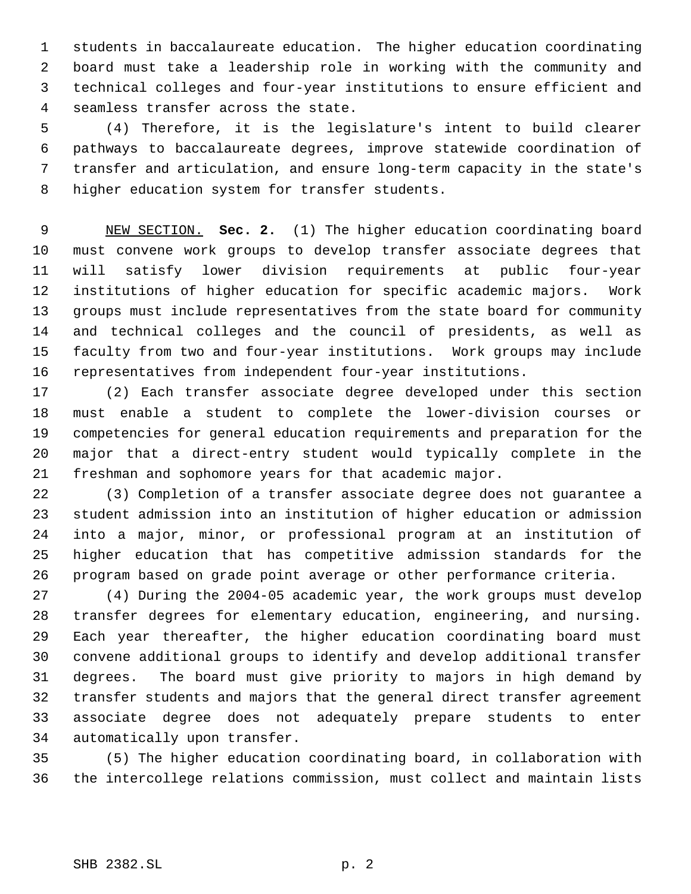students in baccalaureate education. The higher education coordinating board must take a leadership role in working with the community and technical colleges and four-year institutions to ensure efficient and seamless transfer across the state.

 (4) Therefore, it is the legislature's intent to build clearer pathways to baccalaureate degrees, improve statewide coordination of transfer and articulation, and ensure long-term capacity in the state's higher education system for transfer students.

 NEW SECTION. **Sec. 2.** (1) The higher education coordinating board must convene work groups to develop transfer associate degrees that will satisfy lower division requirements at public four-year institutions of higher education for specific academic majors. Work groups must include representatives from the state board for community and technical colleges and the council of presidents, as well as faculty from two and four-year institutions. Work groups may include representatives from independent four-year institutions.

 (2) Each transfer associate degree developed under this section must enable a student to complete the lower-division courses or competencies for general education requirements and preparation for the major that a direct-entry student would typically complete in the freshman and sophomore years for that academic major.

 (3) Completion of a transfer associate degree does not guarantee a student admission into an institution of higher education or admission into a major, minor, or professional program at an institution of higher education that has competitive admission standards for the program based on grade point average or other performance criteria.

 (4) During the 2004-05 academic year, the work groups must develop transfer degrees for elementary education, engineering, and nursing. Each year thereafter, the higher education coordinating board must convene additional groups to identify and develop additional transfer degrees. The board must give priority to majors in high demand by transfer students and majors that the general direct transfer agreement associate degree does not adequately prepare students to enter automatically upon transfer.

 (5) The higher education coordinating board, in collaboration with the intercollege relations commission, must collect and maintain lists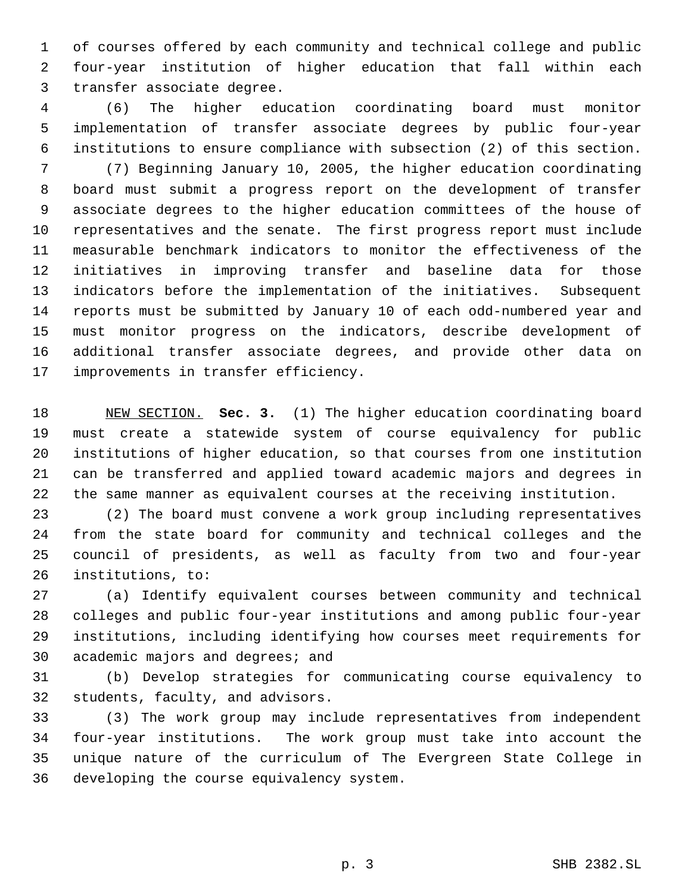of courses offered by each community and technical college and public four-year institution of higher education that fall within each transfer associate degree.

 (6) The higher education coordinating board must monitor implementation of transfer associate degrees by public four-year institutions to ensure compliance with subsection (2) of this section. (7) Beginning January 10, 2005, the higher education coordinating board must submit a progress report on the development of transfer associate degrees to the higher education committees of the house of representatives and the senate. The first progress report must include measurable benchmark indicators to monitor the effectiveness of the initiatives in improving transfer and baseline data for those indicators before the implementation of the initiatives. Subsequent reports must be submitted by January 10 of each odd-numbered year and must monitor progress on the indicators, describe development of additional transfer associate degrees, and provide other data on improvements in transfer efficiency.

 NEW SECTION. **Sec. 3.** (1) The higher education coordinating board must create a statewide system of course equivalency for public institutions of higher education, so that courses from one institution can be transferred and applied toward academic majors and degrees in the same manner as equivalent courses at the receiving institution.

 (2) The board must convene a work group including representatives from the state board for community and technical colleges and the council of presidents, as well as faculty from two and four-year institutions, to:

 (a) Identify equivalent courses between community and technical colleges and public four-year institutions and among public four-year institutions, including identifying how courses meet requirements for academic majors and degrees; and

 (b) Develop strategies for communicating course equivalency to students, faculty, and advisors.

 (3) The work group may include representatives from independent four-year institutions. The work group must take into account the unique nature of the curriculum of The Evergreen State College in developing the course equivalency system.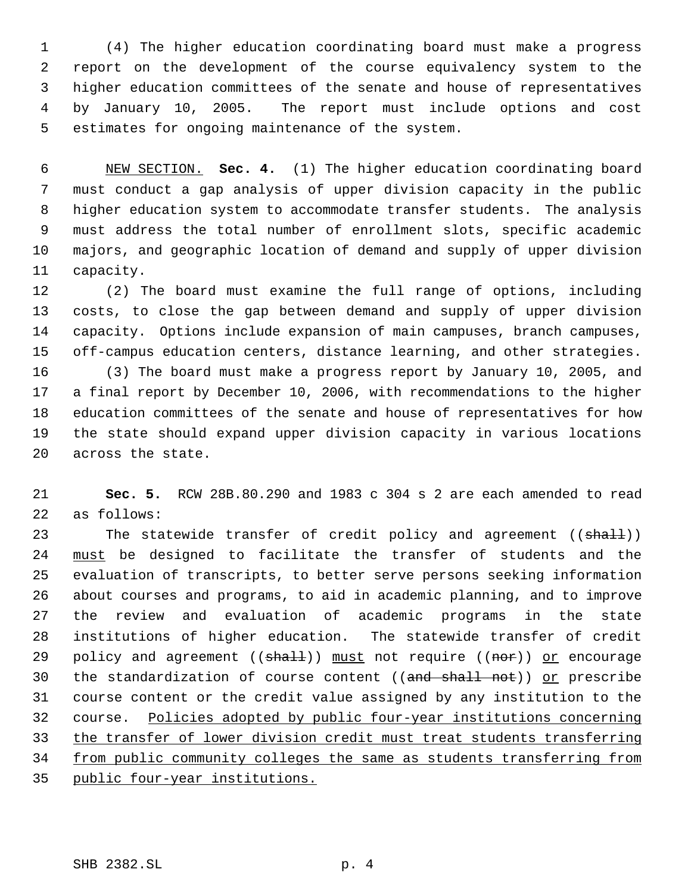(4) The higher education coordinating board must make a progress report on the development of the course equivalency system to the higher education committees of the senate and house of representatives by January 10, 2005. The report must include options and cost estimates for ongoing maintenance of the system.

 NEW SECTION. **Sec. 4.** (1) The higher education coordinating board must conduct a gap analysis of upper division capacity in the public higher education system to accommodate transfer students. The analysis must address the total number of enrollment slots, specific academic majors, and geographic location of demand and supply of upper division capacity.

 (2) The board must examine the full range of options, including costs, to close the gap between demand and supply of upper division capacity. Options include expansion of main campuses, branch campuses, off-campus education centers, distance learning, and other strategies. (3) The board must make a progress report by January 10, 2005, and a final report by December 10, 2006, with recommendations to the higher education committees of the senate and house of representatives for how the state should expand upper division capacity in various locations across the state.

 **Sec. 5.** RCW 28B.80.290 and 1983 c 304 s 2 are each amended to read as follows:

23 The statewide transfer of credit policy and agreement ((shall)) must be designed to facilitate the transfer of students and the evaluation of transcripts, to better serve persons seeking information about courses and programs, to aid in academic planning, and to improve the review and evaluation of academic programs in the state institutions of higher education. The statewide transfer of credit 29 policy and agreement (( $\frac{1}{2}$ ) must not require (( $\frac{1}{2}$ ) or encourage 30 the standardization of course content ((and shall not)) or prescribe course content or the credit value assigned by any institution to the course. Policies adopted by public four-year institutions concerning the transfer of lower division credit must treat students transferring from public community colleges the same as students transferring from public four-year institutions.